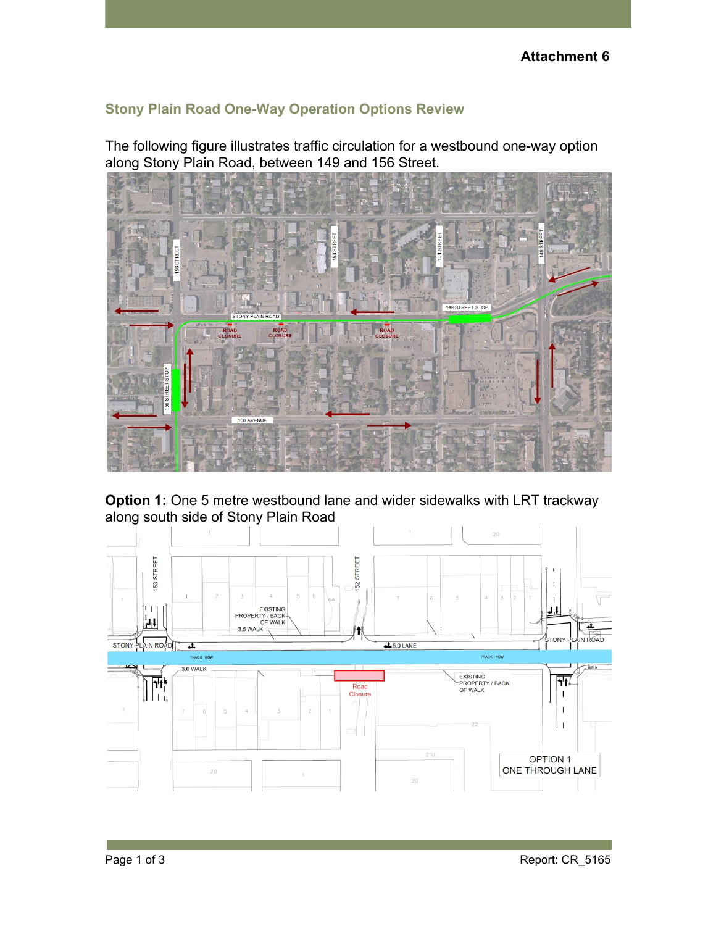## **Stony Plain Road One-Way Operation Options Review**

The following figure illustrates traffic circulation for a westbound one-way option along Stony Plain Road, between 149 and 156 Street.



**Option 1:** One 5 metre westbound lane and wider sidewalks with LRT trackway along south side of Stony Plain Road

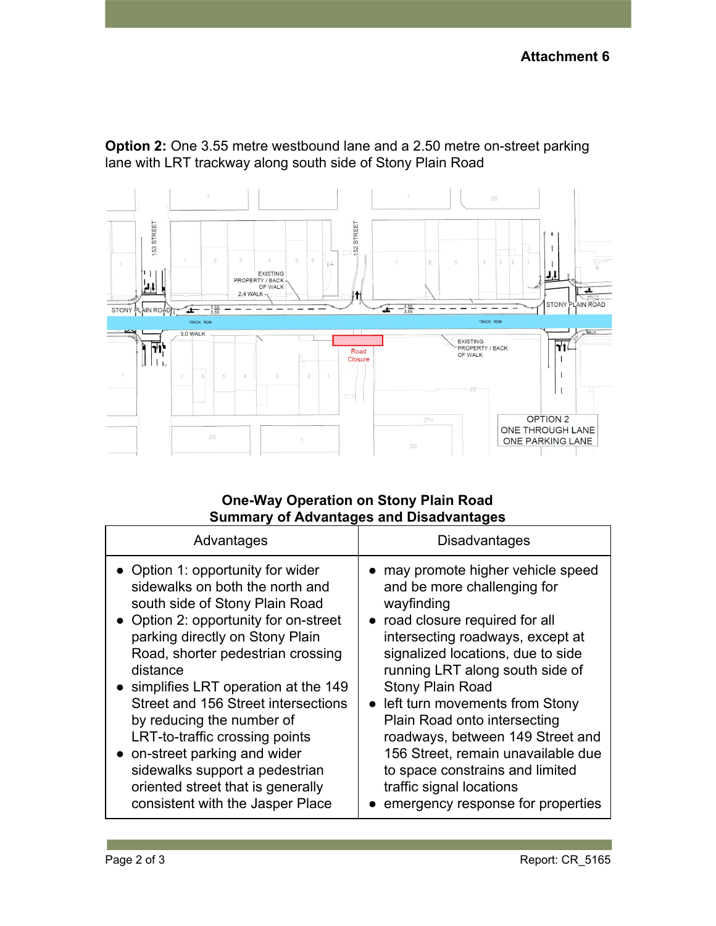**Option 2:** One 3.55 metre westbound lane and a 2.50 metre on-street parking lane with LRT trackway along south side of Stony Plain Road



## **One-Way Operation on Stony Plain Road Summary of Advantages and Disadvantages**

| Advantages                            | Disadvantages                      |
|---------------------------------------|------------------------------------|
| • Option 1: opportunity for wider     | • may promote higher vehicle speed |
| sidewalks on both the north and       | and be more challenging for        |
| south side of Stony Plain Road        | wayfinding                         |
| • Option 2: opportunity for on-street | • road closure required for all    |
| parking directly on Stony Plain       | intersecting roadways, except at   |
| Road, shorter pedestrian crossing     | signalized locations, due to side  |
| distance                              | running LRT along south side of    |
| • simplifies LRT operation at the 149 | <b>Stony Plain Road</b>            |
| Street and 156 Street intersections   | • left turn movements from Stony   |
| by reducing the number of             | Plain Road onto intersecting       |
| LRT-to-traffic crossing points        | roadways, between 149 Street and   |
| • on-street parking and wider         | 156 Street, remain unavailable due |
| sidewalks support a pedestrian        | to space constrains and limited    |
| oriented street that is generally     | traffic signal locations           |
| consistent with the Jasper Place      | emergency response for properties  |